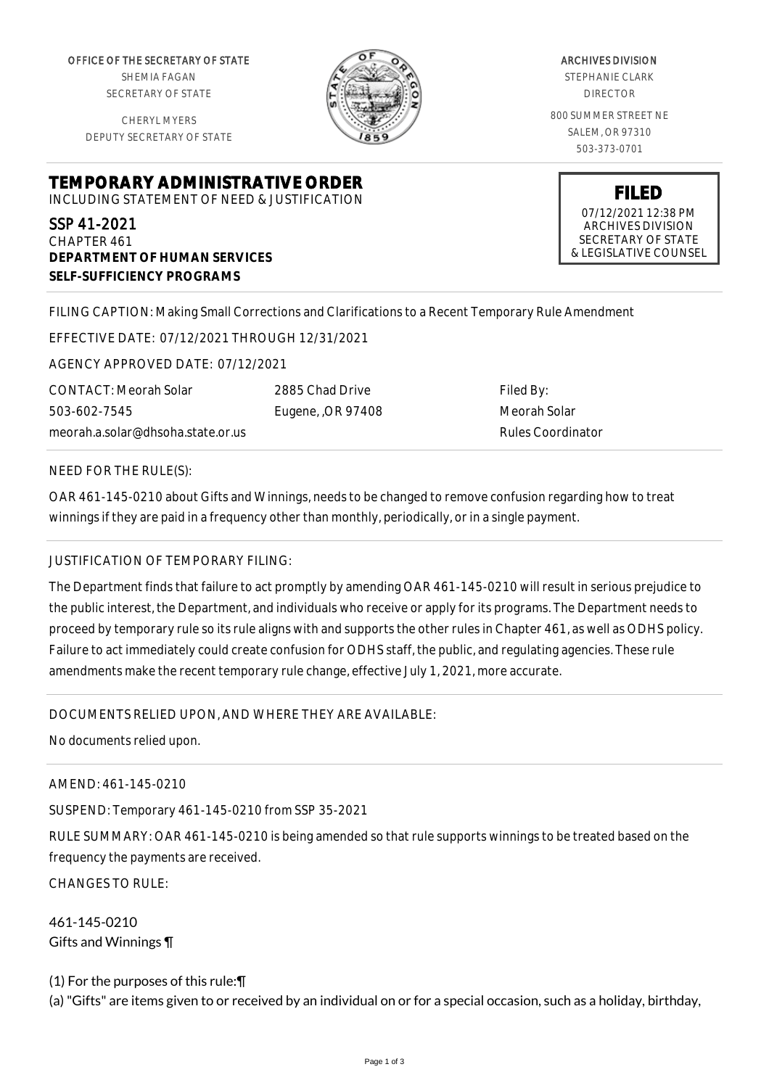OFFICE OF THE SECRETARY OF STATE SHEMIA FAGAN SECRETARY OF STATE

CHERYL MYERS DEPUTY SECRETARY OF STATE



ARCHIVES DIVISION STEPHANIE CLARK DIRECTOR 800 SUMMER STREET NE SALEM, OR 97310 503-373-0701

**TEMPORARY ADMINISTRATIVE ORDER** INCLUDING STATEMENT OF NEED & JUSTIFICATION

SSP 41-2021 CHAPTER 461 **DEPARTMENT OF HUMAN SERVICES SELF-SUFFICIENCY PROGRAMS**

**FILED** 07/12/2021 12:38 PM ARCHIVES DIVISION SECRETARY OF STATE

& LEGISLATIVE COUNSEL

FILING CAPTION: Making Small Corrections and Clarifications to a Recent Temporary Rule Amendment

EFFECTIVE DATE: 07/12/2021 THROUGH 12/31/2021

AGENCY APPROVED DATE: 07/12/2021

meorah.a.solar@dhsoha.state.or.us 2885 Chad Drive Eugene, ,OR 97408 Filed By: Meorah Solar Rules Coordinator

NEED FOR THE RULE(S):

CONTACT: Meorah Solar

503-602-7545

OAR 461-145-0210 about Gifts and Winnings, needs to be changed to remove confusion regarding how to treat winnings if they are paid in a frequency other than monthly, periodically, or in a single payment.

## JUSTIFICATION OF TEMPORARY FILING:

The Department finds that failure to act promptly by amending OAR 461-145-0210 will result in serious prejudice to the public interest, the Department, and individuals who receive or apply for its programs. The Department needs to proceed by temporary rule so its rule aligns with and supports the other rules in Chapter 461, as well as ODHS policy. Failure to act immediately could create confusion for ODHS staff, the public, and regulating agencies. These rule amendments make the recent temporary rule change, effective July 1, 2021, more accurate.

DOCUMENTS RELIED UPON, AND WHERE THEY ARE AVAILABLE:

No documents relied upon.

AMEND: 461-145-0210

SUSPEND: Temporary 461-145-0210 from SSP 35-2021

RULE SUMMARY: OAR 461-145-0210 is being amended so that rule supports winnings to be treated based on the frequency the payments are received.

CHANGES TO RULE:

461-145-0210 Gifts and Winnings ¶

(1) For the purposes of this rule:¶ (a) "Gifts" are items given to or received by an individual on or for a special occasion, such as a holiday, birthday,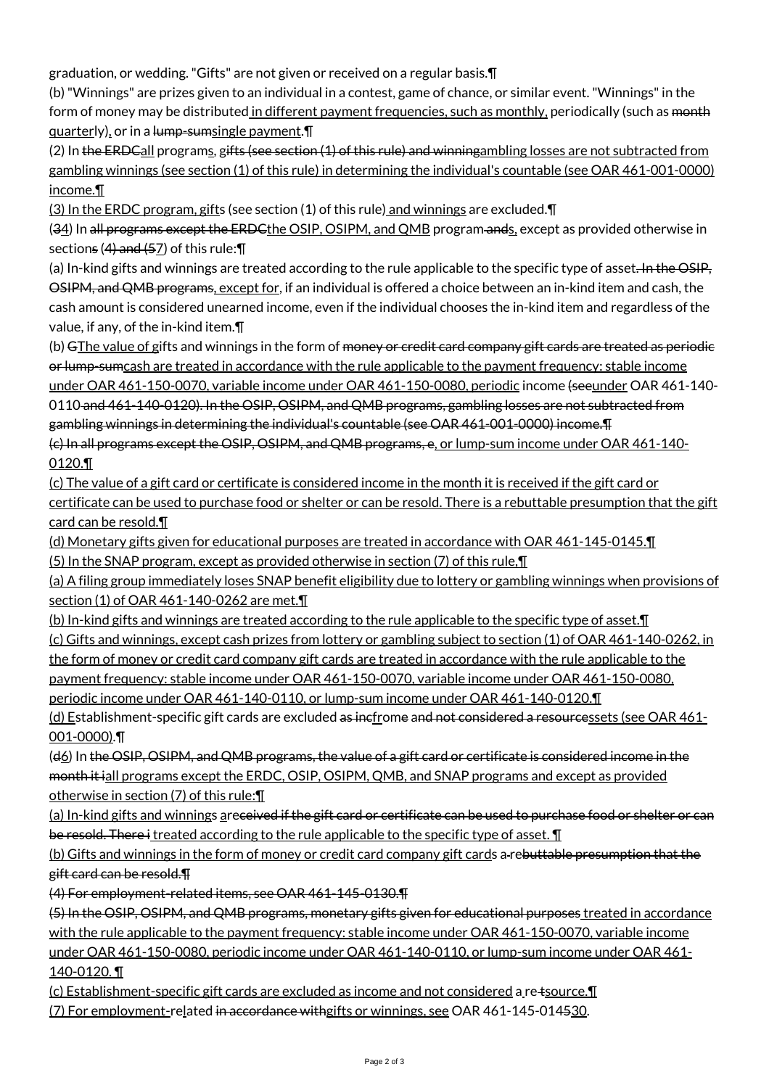graduation, or wedding. "Gifts" are not given or received on a regular basis.¶

(b) "Winnings" are prizes given to an individual in a contest, game of chance, or similar event. "Winnings" in the form of money may be distributed in different payment frequencies, such as monthly, periodically (such as <del>month</del> quarterly), or in a lump-sumsingle payment.¶

(2) In the ERDCall programs, gifts (see section (1) of this rule) and winningambling losses are not subtracted from gambling winnings (see section (1) of this rule) in determining the individual's countable (see OAR 461-001-0000) income.¶

(3) In the ERDC program, gifts (see section (1) of this rule) and winnings are excluded.¶

(34) In all programs except the ERDCthe OSIP, OSIPM, and QMB program ands, except as provided otherwise in sections  $(4)$  and  $(57)$  of this rule:  $\P$ 

(a) In-kind gifts and winnings are treated according to the rule applicable to the specific type of asset. In the OSIP, OSIPM, and QMB programs, except for, if an individual is offered a choice between an in-kind item and cash, the cash amount is considered unearned income, even if the individual chooses the in-kind item and regardless of the value, if any, of the in-kind item.¶

(b) GThe value of gifts and winnings in the form of <del>money or credit card company gift cards are treated as periodic</del> or lump-sumcash are treated in accordance with the rule applicable to the payment frequency: stable income under OAR 461-150-0070, variable income under OAR 461-150-0080, periodic income (seeunder OAR 461-140- 0110 and 461-140-0120). In the OSIP, OSIPM, and QMB programs, gambling losses are not subtracted from gambling winnings in determining the individual's countable (see OAR 461-001-0000) income.¶ (c) In all programs except the OSIP, OSIPM, and QMB programs, e, or lump-sum income under OAR 461-140- 0120.¶

(c) The value of a gift card or certificate is considered income in the month it is received if the gift card or certificate can be used to purchase food or shelter or can be resold. There is a rebuttable presumption that the gift card can be resold.¶

(d) Monetary gifts given for educational purposes are treated in accordance with OAR 461-145-0145.¶ (5) In the SNAP program, except as provided otherwise in section (7) of this rule,¶

(a) A filing group immediately loses SNAP benefit eligibility due to lottery or gambling winnings when provisions of section (1) of OAR 461-140-0262 are met.¶

(b) In-kind gifts and winnings are treated according to the rule applicable to the specific type of asset. I (c) Gifts and winnings, except cash prizes from lottery or gambling subject to section (1) of OAR 461-140-0262, in the form of money or credit card company gift cards are treated in accordance with the rule applicable to the payment frequency: stable income under OAR 461-150-0070, variable income under OAR 461-150-0080, periodic income under OAR 461-140-0110, or lump-sum income under OAR 461-140-0120.¶

(d) Establishment-specific gift cards are excluded as inefrome and not considered a resourcessets (see OAR 461-001-0000).¶

(d6) In the OSIP, OSIPM, and QMB programs, the value of a gift card or certificate is considered income in the month it iall programs except the ERDC, OSIP, OSIPM, QMB, and SNAP programs and except as provided otherwise in section (7) of this rule:¶

(a) In-kind gifts and winnings areceived if the gift card or certificate can be used to purchase food or shelter or can be resold. There i treated according to the rule applicable to the specific type of asset.  $\P$ 

(b) Gifts and winnings in the form of money or credit card company gift cards a rebuttable presumption that the gift card can be resold.¶

(4) For employment-related items, see OAR 461-145-0130.¶

(5) In the OSIP, OSIPM, and QMB programs, monetary gifts given for educational purposes treated in accordance with the rule applicable to the payment frequency: stable income under OAR 461-150-0070, variable income

under OAR 461-150-0080, periodic income under OAR 461-140-0110, or lump-sum income under OAR 461- 140-0120. ¶

(c) Establishment-specific gift cards are excluded as income and not considered a re tsource.¶

(7) For employment-related in accordance withgifts or winnings, see OAR 461-145-014530.